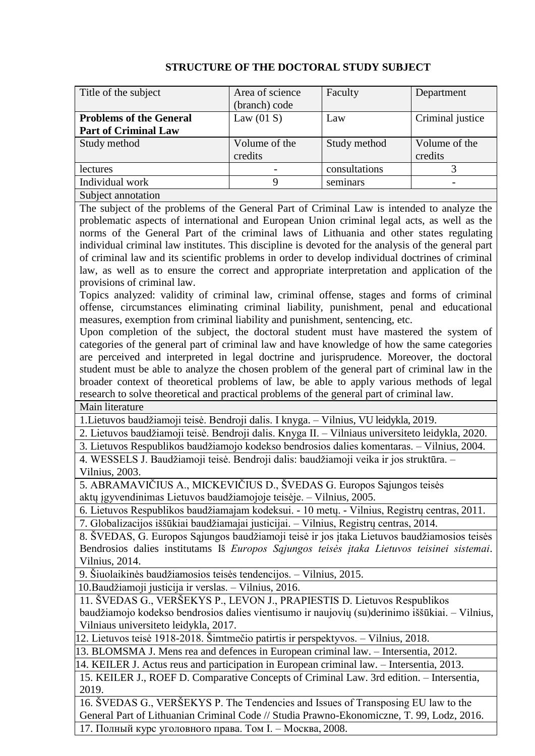| Title of the subject           | Area of science | Faculty       | Department       |
|--------------------------------|-----------------|---------------|------------------|
|                                | (branch) code   |               |                  |
| <b>Problems of the General</b> | Law $(01 S)$    | Law           | Criminal justice |
| <b>Part of Criminal Law</b>    |                 |               |                  |
| Study method                   | Volume of the   | Study method  | Volume of the    |
|                                | credits         |               | credits          |
| <i>lectures</i>                |                 | consultations |                  |
| Individual work                | Q               | seminars      |                  |
| Subject annotation             |                 |               |                  |

## **STRUCTURE OF THE DOCTORAL STUDY SUBJECT**

The subject of the problems of the General Part of Criminal Law is intended to analyze the problematic aspects of international and European Union criminal legal acts, as well as the norms of the General Part of the criminal laws of Lithuania and other states regulating individual criminal law institutes. This discipline is devoted for the analysis of the general part of criminal law and its scientific problems in order to develop individual doctrines of criminal law, as well as to ensure the correct and appropriate interpretation and application of the provisions of criminal law.

Topics analyzed: validity of criminal law, criminal offense, stages and forms of criminal offense, circumstances eliminating criminal liability, punishment, penal and educational measures, exemption from criminal liability and punishment, sentencing, etc.

Upon completion of the subject, the doctoral student must have mastered the system of categories of the general part of criminal law and have knowledge of how the same categories are perceived and interpreted in legal doctrine and jurisprudence. Moreover, the doctoral student must be able to analyze the chosen problem of the general part of criminal law in the broader context of theoretical problems of law, be able to apply various methods of legal research to solve theoretical and practical problems of the general part of criminal law. Main literature

1.Lietuvos baudžiamoji teisė. Bendroji dalis. I knyga. – Vilnius, VU leidykla, 2019.

2. Lietuvos baudžiamoji teisė. Bendroji dalis. Knyga II. – Vilniaus universiteto leidykla, 2020.

3. Lietuvos Respublikos baudžiamojo kodekso bendrosios dalies komentaras. – Vilnius, 2004. 4. WESSELS J. Baudžiamoji teisė. Bendroji dalis: baudžiamoji veika ir jos struktūra. –

Vilnius, 2003.

5. ABRAMAVIČIUS A., MICKEVIČIUS D., ŠVEDAS G. Europos Sąjungos teisės aktų įgyvendinimas Lietuvos baudžiamojoje teisėje. – Vilnius, 2005.

6. Lietuvos Respublikos baudžiamajam kodeksui. - 10 metų. - Vilnius, Registrų centras, 2011. 7. Globalizacijos iššūkiai baudžiamajai justicijai. – Vilnius, Registrų centras, 2014.

8. ŠVEDAS, G. Europos Sąjungos baudžiamoji teisė ir jos įtaka Lietuvos baudžiamosios teisės Bendrosios dalies institutams Iš *Europos Sąjungos teisės įtaka Lietuvos teisinei sistemai*. Vilnius, 2014.

9. Šiuolaikinės baudžiamosios teisės tendencijos. – Vilnius, 2015.

10.Baudžiamoji justicija ir verslas. – Vilnius, 2016.

11. ŠVEDAS G., VERŠEKYS P., LEVON J., PRAPIESTIS D. Lietuvos Respublikos

baudžiamojo kodekso bendrosios dalies vientisumo ir naujovių (su)derinimo iššūkiai. – Vilnius, Vilniaus universiteto leidykla, 2017.

12. Lietuvos teisė 1918-2018. Šimtmečio patirtis ir perspektyvos. – Vilnius, 2018.

13. BLOMSMA J. Mens rea and defences in European criminal law. – Intersentia, 2012.

14. KEILER J. Actus reus and participation in European criminal law. – Intersentia, 2013.

15. KEILER J., ROEF D. Comparative Concepts of Criminal Law. 3rd edition. – Intersentia, 2019.

16. ŠVEDAS G., VERŠEKYS P. The Tendencies and Issues of Transposing EU law to the General Part of Lithuanian Criminal Code // Studia Prawno-Ekonomiczne, T. 99, Lodz, 2016.

17. Полный курс уголовного права. Том I. – Москва, 2008.